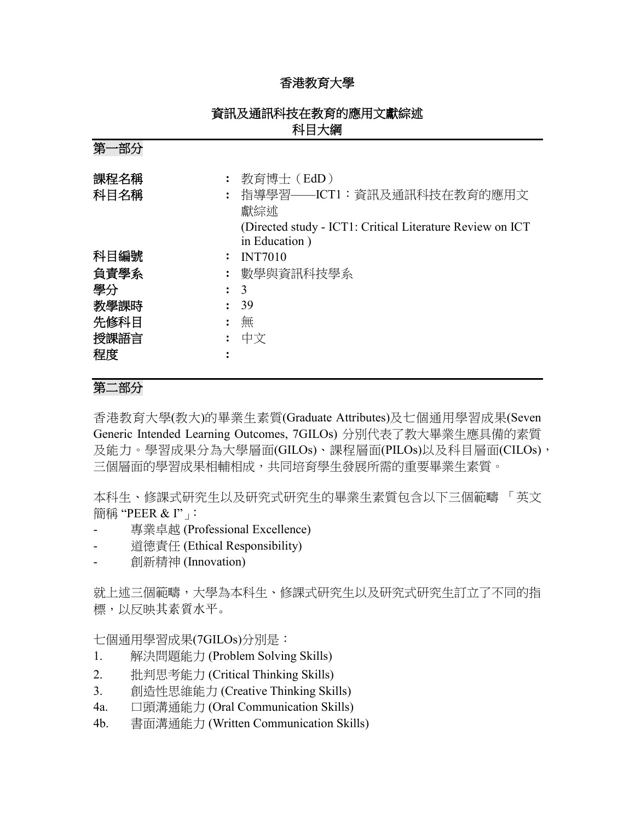### 香港教育大學

# 資訊及通訊科技在教育的應用文獻綜述 科目大綱

第一部分 課程名稱 **:** 教育博士(EdD) 科目名稱 **:** 指導學習——ICT1:資訊及通訊科技在教育的應用文 獻綜述 (Directed study - ICT1: Critical Literature Review on ICT in Education ) 科目編號 **:** INT7010 負責學系 **:** 數學與資訊科技學系 學分 **:** 3 教學課時 **:** 39 先修科目 **:** 無 授課語言 **:** 中文 程度 **:**

# 第二部分

香港教育大學(教大)的畢業生素質(Graduate Attributes)及七個通用學習成果(Seven Generic Intended Learning Outcomes, 7GILOs) 分別代表了教大畢業生應具備的素質 及能力。學習成果分為大學層面(GILOs)、課程層面(PILOs)以及科目層面(CILOs), 三個層面的學習成果相輔相成,共同培育學生發展所需的重要畢業生素質。

本科生、修課式研究生以及研究式研究生的畢業生素質包含以下三個範疇 「英文 簡稱 "PEER & I"」

- 專業卓越 (Professional Excellence)
- 道德責任 (Ethical Responsibility)
- 創新精神 (Innovation)

就上述三個範疇,大學為本科生、修課式研究生以及研究式研究生訂立了不同的指 標,以反映其素質水平。

七個通用學習成果(7GILOs)分別是:

- 1. 解決問題能力 (Problem Solving Skills)
- 2. 批判思考能力 (Critical Thinking Skills)
- 3. 創造性思維能力 (Creative Thinking Skills)
- 4a. 口頭溝通能力 (Oral Communication Skills)
- 4b. 書面溝通能力 (Written Communication Skills)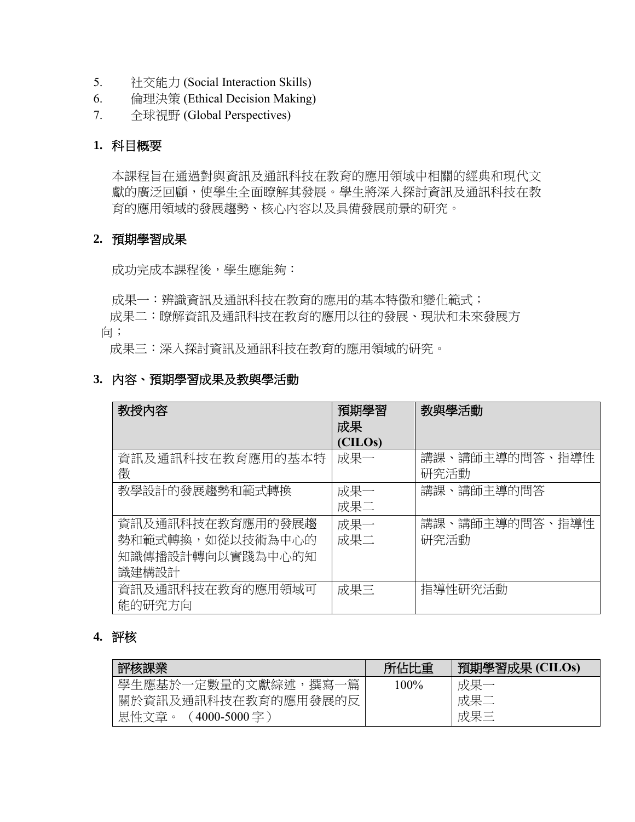- 5. 社交能力 (Social Interaction Skills)
- 6. 倫理決策 (Ethical Decision Making)
- 7. 全球視野 (Global Perspectives)

### **1.** 科目概要

本課程旨在通過對與資訊及通訊科技在教育的應用領域中相關的經典和現代文 獻的廣泛回顧,使學生全面瞭解其發展。學生將深入探討資訊及通訊科技在教 育的應用領域的發展趨勢、核心內容以及具備發展前景的研究。

### **2.** 預期學習成果

成功完成本課程後,學生應能夠:

成果一:辨識資訊及通訊科技在教育的應用的基本特徵和變化範式;

 成果二:瞭解資訊及通訊科技在教育的應用以往的發展、現狀和未來發展方 向;

成果三:深入探討資訊及通訊科技在教育的應用領域的研究。

### **3.** 內容、預期學習成果及教與學活動

| 教授内容             | 預期學習    | 教與學活動          |
|------------------|---------|----------------|
|                  | 成果      |                |
|                  | (CILOs) |                |
| 資訊及通訊科技在教育應用的基本特 | 成果一     | 講課、講師主導的問答、指導性 |
| 徵                |         | 研究活動           |
| 教學設計的發展趨勢和範式轉換   | 成果一     | 講課、講師主導的問答     |
|                  | 成果二     |                |
| 資訊及通訊科技在教育應用的發展趨 | 成果一     | 講課、講師主導的問答、指導性 |
| 勢和範式轉換,如從以技術為中心的 | 成果二     | 研究活動           |
| 知識傳播設計轉向以實踐為中心的知 |         |                |
| 識建構設計            |         |                |
| 資訊及通訊科技在教育的應用領域可 | 成果三     | 指導性研究活動        |
| 能的研究方向           |         |                |

## **4.** 評核

| 評核課業                        | 所佔比重    | 預期學習成果 (CILOs) |
|-----------------------------|---------|----------------|
| 學生應基於一定數量的文獻綜述,撰寫一篇         | $100\%$ | 成果一            |
| 關於資訊及通訊科技在教育的應用發展的反         |         | 成果二            |
| 思性文章。<br>$(4000 - 5000 = )$ |         | 成果三            |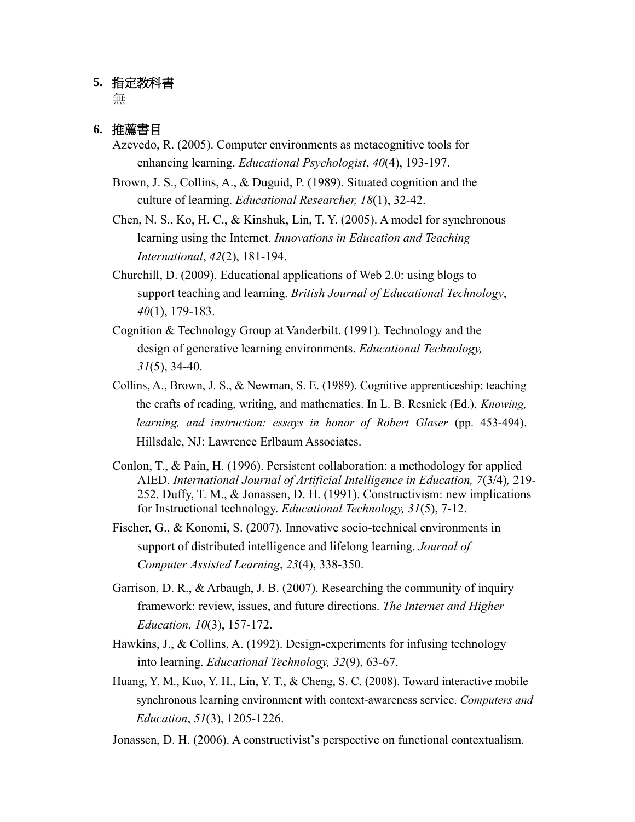#### **5.** 指定教科書

無

### **6.** 推薦書目

- Azevedo, R. (2005). Computer environments as metacognitive tools for enhancing learning. *Educational Psychologist*, *40*(4), 193-197.
- Brown, J. S., Collins, A., & Duguid, P. (1989). Situated cognition and the culture of learning. *Educational Researcher, 18*(1), 32-42.
- Chen, N. S., Ko, H. C., & Kinshuk, Lin, T. Y. (2005). A model for synchronous learning using the Internet. *Innovations in Education and Teaching International*, *42*(2), 181-194.
- Churchill, D. (2009). Educational applications of Web 2.0: using blogs to support teaching and learning. *British Journal of Educational Technology*, *40*(1), 179-183.
- Cognition & Technology Group at Vanderbilt. (1991). Technology and the design of generative learning environments. *Educational Technology, 31*(5), 34-40.
- Collins, A., Brown, J. S., & Newman, S. E. (1989). Cognitive apprenticeship: teaching the crafts of reading, writing, and mathematics. In L. B. Resnick (Ed.), *Knowing,* learning, and instruction: essays in honor of Robert Glaser (pp. 453-494). Hillsdale, NJ: Lawrence Erlbaum Associates.
- Conlon, T., & Pain, H. (1996). Persistent collaboration: a methodology for applied AIED. *International Journal of Artificial Intelligence in Education, 7*(3/4)*,* 219- 252. Duffy, T. M., & Jonassen, D. H. (1991). Constructivism: new implications for Instructional technology. *Educational Technology, 31*(5), 7-12.
- Fischer, G., & Konomi, S. (2007). Innovative socio-technical environments in support of distributed intelligence and lifelong learning. *Journal of Computer Assisted Learning*, *23*(4), 338-350.
- Garrison, D. R., & Arbaugh, J. B. (2007). Researching the community of inquiry framework: review, issues, and future directions. *The Internet and Higher Education, 10*(3), 157-172.
- Hawkins, J., & Collins, A. (1992). Design-experiments for infusing technology into learning. *Educational Technology, 32*(9), 63-67.
- Huang, Y. M., Kuo, Y. H., Lin, Y. T., & Cheng, S. C. (2008). Toward interactive mobile synchronous learning environment with context-awareness service. *Computers and Education*, *51*(3), 1205-1226.
- Jonassen, D. H. (2006). A constructivist's perspective on functional contextualism.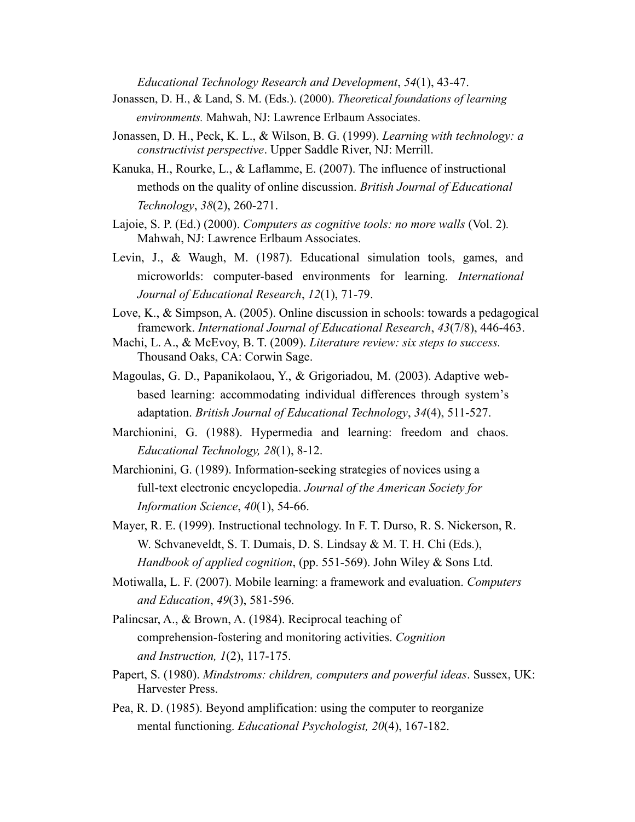*Educational Technology Research and Development*, *54*(1), 43-47.

- Jonassen, D. H., & Land, S. M. (Eds.). (2000). *Theoretical foundations of learning environments.* Mahwah, NJ: Lawrence Erlbaum Associates.
- Jonassen, D. H., Peck, K. L., & Wilson, B. G. (1999). *Learning with technology: a constructivist perspective*. Upper Saddle River, NJ: Merrill.
- Kanuka, H., Rourke, L., & Laflamme, E. (2007). The influence of instructional methods on the quality of online discussion. *British Journal of Educational Technology*, *38*(2), 260-271.
- Lajoie, S. P. (Ed.) (2000). *Computers as cognitive tools: no more walls* (Vol. 2)*.* Mahwah, NJ: Lawrence Erlbaum Associates.
- Levin, J., & Waugh, M. (1987). Educational simulation tools, games, and microworlds: computer-based environments for learning. *International Journal of Educational Research*, *12*(1), 71-79.
- Love, K., & Simpson, A. (2005). Online discussion in schools: towards a pedagogical framework. *International Journal of Educational Research*, *43*(7/8), 446-463.
- Machi, L. A., & McEvoy, B. T. (2009). *Literature review: six steps to success.* Thousand Oaks, CA: Corwin Sage.
- Magoulas, G. D., Papanikolaou, Y., & Grigoriadou, M. (2003). Adaptive webbased learning: accommodating individual differences through system's adaptation. *British Journal of Educational Technology*, *34*(4), 511-527.
- Marchionini, G. (1988). Hypermedia and learning: freedom and chaos. *Educational Technology, 28*(1), 8-12.
- Marchionini, G. (1989). Information-seeking strategies of novices using a full-text electronic encyclopedia. *Journal of the American Society for Information Science*, *40*(1), 54-66.
- Mayer, R. E. (1999). Instructional technology. In F. T. Durso, R. S. Nickerson, R. W. Schvaneveldt, S. T. Dumais, D. S. Lindsay & M. T. H. Chi (Eds.), *Handbook of applied cognition*, (pp. 551-569). John Wiley & Sons Ltd.
- Motiwalla, L. F. (2007). Mobile learning: a framework and evaluation. *Computers and Education*, *49*(3), 581-596.
- Palincsar, A., & Brown, A. (1984). Reciprocal teaching of comprehension-fostering and monitoring activities. *Cognition and Instruction, 1*(2), 117-175.
- Papert, S. (1980). *Mindstroms: children, computers and powerful ideas*. Sussex, UK: Harvester Press.
- Pea, R. D. (1985). Beyond amplification: using the computer to reorganize mental functioning. *Educational Psychologist, 20*(4), 167-182.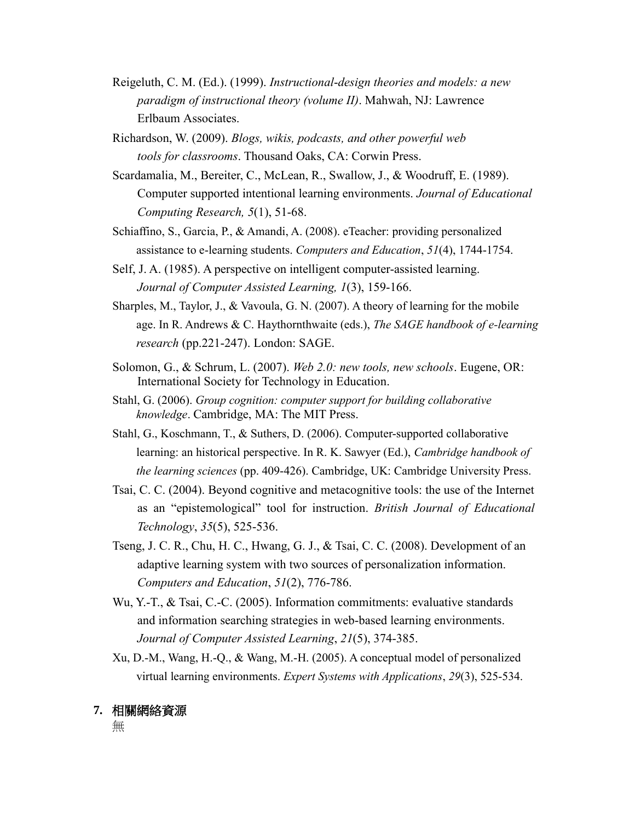- Reigeluth, C. M. (Ed.). (1999). *Instructional*-*design theories and models: a new paradigm of instructional theory (volume II)*. Mahwah, NJ: Lawrence Erlbaum Associates.
- Richardson, W. (2009). *Blogs, wikis, podcasts, and other powerful web tools for classrooms*. Thousand Oaks, CA: Corwin Press.
- Scardamalia, M., Bereiter, C., McLean, R., Swallow, J., & Woodruff, E. (1989). Computer supported intentional learning environments. *Journal of Educational Computing Research, 5*(1), 51-68.
- Schiaffino, S., Garcia, P., & Amandi, A. (2008). eTeacher: providing personalized assistance to e-learning students. *Computers and Education*, *51*(4), 1744-1754.
- Self, J. A. (1985). A perspective on intelligent computer-assisted learning. *Journal of Computer Assisted Learning, 1*(3), 159-166.
- Sharples, M., Taylor, J., & Vavoula, G. N. (2007). A theory of learning for the mobile age. In R. Andrews & C. Haythornthwaite (eds.), *The SAGE handbook of e-learning research* (pp.221-247). London: SAGE.
- Solomon, G., & Schrum, L. (2007). *Web 2.0: new tools, new schools*. Eugene, OR: International Society for Technology in Education.
- Stahl, G. (2006). *Group cognition: computer support for building collaborative knowledge*. Cambridge, MA: The MIT Press.
- Stahl, G., Koschmann, T., & Suthers, D. (2006). Computer-supported collaborative learning: an historical perspective. In R. K. Sawyer (Ed.), *Cambridge handbook of the learning sciences* (pp. 409-426). Cambridge, UK: Cambridge University Press.
- Tsai, C. C. (2004). Beyond cognitive and metacognitive tools: the use of the Internet as an "epistemological" tool for instruction. *British Journal of Educational Technology*, *35*(5), 525-536.
- Tseng, J. C. R., Chu, H. C., Hwang, G. J., & Tsai, C. C. (2008). Development of an adaptive learning system with two sources of personalization information. *Computers and Education*, *51*(2), 776-786.
- Wu, Y.-T., & Tsai, C.-C. (2005). Information commitments: evaluative standards and information searching strategies in web-based learning environments. *Journal of Computer Assisted Learning*, *21*(5), 374-385.
- Xu, D.-M., Wang, H.-Q., & Wang, M.-H. (2005). A conceptual model of personalized virtual learning environments. *Expert Systems with Applications*, *29*(3), 525-534.

### **7.** 相關網絡資源

無